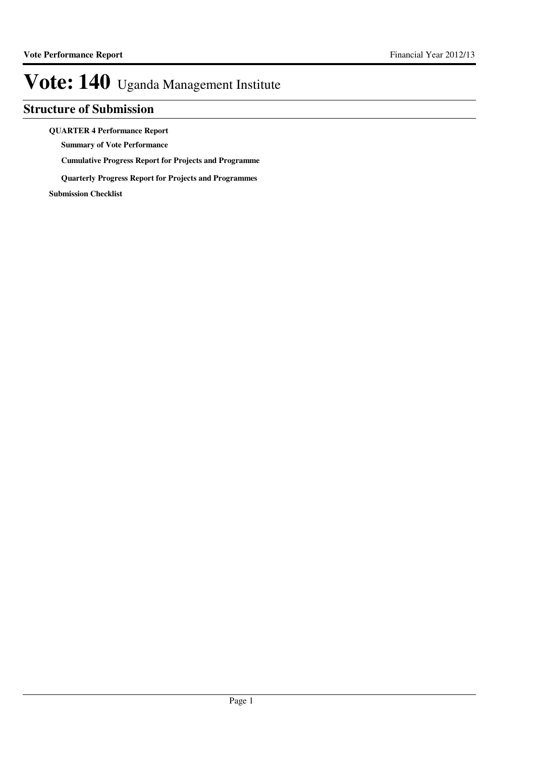### **Structure of Submission**

#### **QUARTER 4 Performance Report**

**Summary of Vote Performance**

**Cumulative Progress Report for Projects and Programme**

**Quarterly Progress Report for Projects and Programmes**

**Submission Checklist**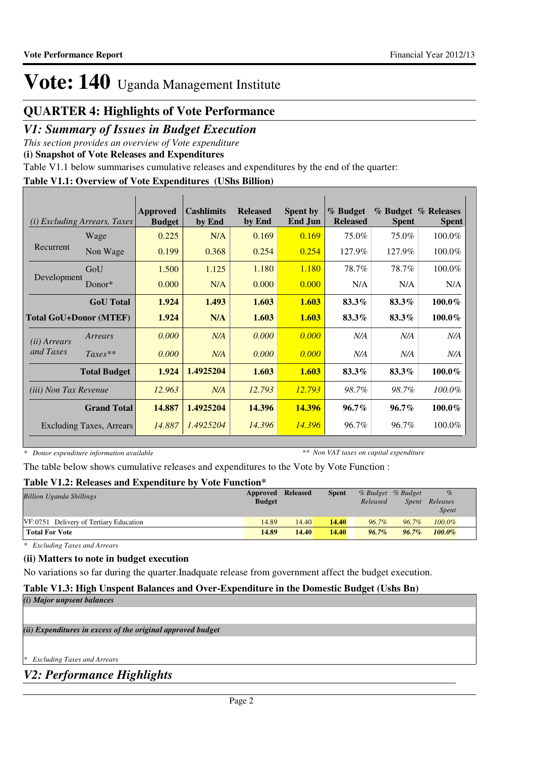### **QUARTER 4: Highlights of Vote Performance**

### *V1: Summary of Issues in Budget Execution*

*This section provides an overview of Vote expenditure* 

**(i) Snapshot of Vote Releases and Expenditures**

Table V1.1 below summarises cumulative releases and expenditures by the end of the quarter:

### **Table V1.1: Overview of Vote Expenditures (UShs Billion)**

| (i)                          | <b>Excluding Arrears, Taxes</b> | Approved<br><b>Budget</b> | <b>Cashlimits</b><br>by End | <b>Released</b><br>by End | <b>Spent by</b><br><b>End Jun</b> | % Budget<br><b>Released</b> | <b>Spent</b> | % Budget % Releases<br><b>Spent</b> |
|------------------------------|---------------------------------|---------------------------|-----------------------------|---------------------------|-----------------------------------|-----------------------------|--------------|-------------------------------------|
|                              | Wage                            | 0.225                     | N/A                         | 0.169                     | 0.169                             | 75.0%                       | 75.0%        | 100.0%                              |
| Recurrent                    | Non Wage                        | 0.199                     | 0.368                       | 0.254                     | 0.254                             | 127.9%                      | 127.9%       | 100.0%                              |
|                              | GoU                             | 1.500                     | 1.125                       | 1.180                     | 1.180                             | 78.7%                       | 78.7%        | 100.0%                              |
| Development                  | Donor $*$                       | 0.000                     | N/A                         | 0.000                     | 0.000                             | N/A                         | N/A          | N/A                                 |
|                              | <b>GoU</b> Total                | 1.924                     | 1.493                       | 1.603                     | 1.603                             | 83.3%                       | 83.3%        | $100.0\%$                           |
|                              | <b>Total GoU+Donor (MTEF)</b>   | 1.924                     | N/A                         | 1.603                     | 1.603                             | 83.3%                       | 83.3%        | $100.0\%$                           |
| (ii) Arrears                 | Arrears                         | 0.000                     | N/A                         | 0.000                     | 0.000                             | N/A                         | N/A          | N/A                                 |
| and Taxes                    | $Taxes**$                       | 0.000                     | N/A                         | 0.000                     | 0.000                             | N/A                         | N/A          | N/A                                 |
|                              | <b>Total Budget</b>             | 1.924                     | 1.4925204                   | 1.603                     | 1.603                             | 83.3%                       | 83.3%        | $100.0\%$                           |
| <i>(iii) Non Tax Revenue</i> |                                 | 12.963                    | N/A                         | 12.793                    | 12.793                            | 98.7%                       | 98.7%        | 100.0%                              |
|                              | <b>Grand Total</b>              | 14.887                    | 1.4925204                   | 14.396                    | 14.396                            | $96.7\%$                    | $96.7\%$     | $100.0\%$                           |
|                              | Excluding Taxes, Arrears        | 14.887                    | 1.4925204                   | 14.396                    | 14.396                            | 96.7%                       | 96.7%        | 100.0%                              |

*\* Donor expenditure information available*

*\*\* Non VAT taxes on capital expenditure*

The table below shows cumulative releases and expenditures to the Vote by Vote Function :

### **Table V1.2: Releases and Expenditure by Vote Function\***

| <b>Billion Uganda Shillings</b>        | Approved Released<br><b>Budget</b> |       | Spent | Released | % Budget % Budget<br>Spent | $\%$<br>Releases<br>Spent |
|----------------------------------------|------------------------------------|-------|-------|----------|----------------------------|---------------------------|
| VF:0751 Delivery of Tertiary Education | 14.89                              | 14.40 | 14.40 | $96.7\%$ | $96.7\%$                   | $100.0\%$                 |
| <b>Total For Vote</b>                  | 14.89                              | 14.40 | 14.40 | $96.7\%$ | $96.7\%$                   | $100.0\%$                 |

*\* Excluding Taxes and Arrears*

#### **(ii) Matters to note in budget execution**

No variations so far during the quarter.Inadquate release from government affect the budget execution.

### **Table V1.3: High Unspent Balances and Over-Expenditure in the Domestic Budget (Ushs Bn)**

*(i) Major unpsent balances*

*(ii) Expenditures in excess of the original approved budget*

*\* Excluding Taxes and Arrears*

*V2: Performance Highlights*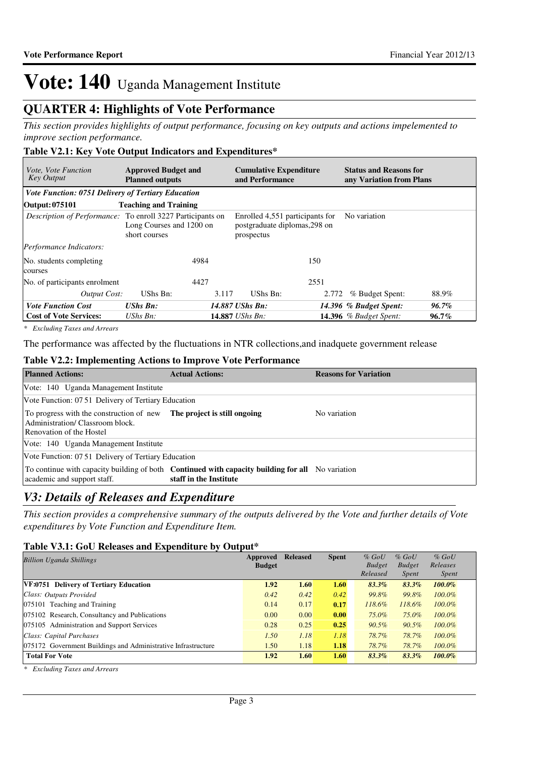### **QUARTER 4: Highlights of Vote Performance**

*This section provides highlights of output performance, focusing on key outputs and actions impelemented to improve section performance.*

### **Table V2.1: Key Vote Output Indicators and Expenditures\***

| <i>Vote, Vote Function</i><br><b>Key Output</b>           | <b>Approved Budget and</b><br><b>Planned outputs</b>                                                           | <b>Cumulative Expenditure</b><br>and Performance                               | <b>Status and Reasons for</b><br>any Variation from Plans |
|-----------------------------------------------------------|----------------------------------------------------------------------------------------------------------------|--------------------------------------------------------------------------------|-----------------------------------------------------------|
| <b>Vote Function: 0751 Delivery of Tertiary Education</b> |                                                                                                                |                                                                                |                                                           |
| Output: 075101                                            | <b>Teaching and Training</b>                                                                                   |                                                                                |                                                           |
|                                                           | <i>Description of Performance:</i> To enroll 3227 Participants on<br>Long Courses and 1200 on<br>short courses | Enrolled 4,551 participants for<br>postgraduate diplomas, 298 on<br>prospectus | No variation                                              |
| Performance Indicators:                                   |                                                                                                                |                                                                                |                                                           |
| No. students completing<br>courses                        | 4984                                                                                                           | 150                                                                            |                                                           |
| No. of participants enrolment                             | 4427                                                                                                           | 2551                                                                           |                                                           |
| Output Cost:                                              | UShs Bn:<br>3.117                                                                                              | UShs Bn:<br>2.772                                                              | 88.9%<br>% Budget Spent:                                  |
| <b>Vote Function Cost</b>                                 | <b>UShs Bn:</b>                                                                                                | 14.887 UShs Bn:                                                                | 14.396 % Budget Spent:<br>96.7%                           |
| <b>Cost of Vote Services:</b>                             | $UShs Bn$ :                                                                                                    | 14.887 <i>UShs Bn:</i>                                                         | 14.396 $%$ Budget Spent:<br>$96.7\%$                      |

*\* Excluding Taxes and Arrears*

The performance was affected by the fluctuations in NTR collections,and inadquete government release

#### **Table V2.2: Implementing Actions to Improve Vote Performance**

| <b>Planned Actions:</b>                                                                                 | <b>Actual Actions:</b>                                                                                                            | <b>Reasons for Variation</b> |
|---------------------------------------------------------------------------------------------------------|-----------------------------------------------------------------------------------------------------------------------------------|------------------------------|
| Vote: 140 Uganda Management Institute                                                                   |                                                                                                                                   |                              |
| Vote Function: 07.51 Delivery of Tertiary Education                                                     |                                                                                                                                   |                              |
| To progress with the construction of new<br>Administration/Classroom block.<br>Renovation of the Hostel | The project is still ongoing                                                                                                      | No variation                 |
| Vote: 140 Uganda Management Institute                                                                   |                                                                                                                                   |                              |
| Vote Function: 07.51 Delivery of Tertiary Education                                                     |                                                                                                                                   |                              |
| academic and support staff.                                                                             | To continue with capacity building of both <b>Continued with capacity building for all</b> No variation<br>staff in the Institute |                              |

### *V3: Details of Releases and Expenditure*

*This section provides a comprehensive summary of the outputs delivered by the Vote and further details of Vote expenditures by Vote Function and Expenditure Item.*

### **Table V3.1: GoU Releases and Expenditure by Output\***

| <b>Billion Uganda Shillings</b>                               | Approved      | <b>Released</b> | <b>Spent</b> | $%$ GoU       | $%$ GoU       | $%$ GoU      |
|---------------------------------------------------------------|---------------|-----------------|--------------|---------------|---------------|--------------|
|                                                               | <b>Budget</b> |                 |              | <b>Budget</b> | <b>Budget</b> | Releases     |
|                                                               |               |                 |              | Released      | Spent         | <i>Spent</i> |
| VF:0751 Delivery of Tertiary Education                        | 1.92          | 1.60            | 1.60         | 83.3%         | 83.3%         | $100.0\%$    |
| Class: Outputs Provided                                       | 0.42          | 0.42            | 0.42         | 99.8%         | 99.8%         | $100.0\%$    |
| 075101 Teaching and Training                                  | 0.14          | 0.17            | 0.17         | 118.6%        | 118.6%        | $100.0\%$    |
| 075102 Research, Consultancy and Publications                 | 0.00          | 0.00            | 0.00         | 75.0%         | 75.0%         | $100.0\%$    |
| 075105 Administration and Support Services                    | 0.28          | 0.25            | 0.25         | $90.5\%$      | $90.5\%$      | $100.0\%$    |
| Class: Capital Purchases                                      | 1.50          | 1.18            | 1.18         | 78.7%         | 78.7%         | $100.0\%$    |
| 075172 Government Buildings and Administrative Infrastructure | 1.50          | 1.18            | 1.18         | 78.7%         | 78.7%         | $100.0\%$    |
| <b>Total For Vote</b>                                         | 1.92          | 1.60            | 1.60         | $83.3\%$      | 83.3%         | $100.0\%$    |

*\* Excluding Taxes and Arrears*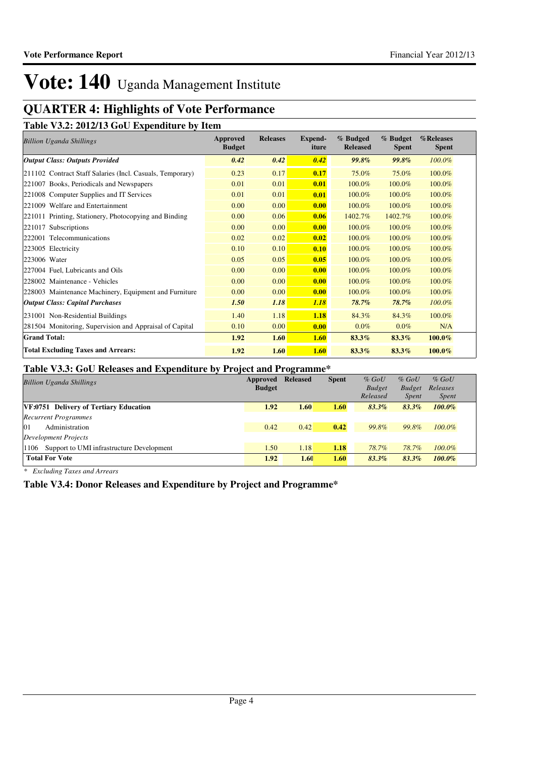## **QUARTER 4: Highlights of Vote Performance**

**Table V3.2: 2012/13 GoU Expenditure by Item**

| <b>Billion Uganda Shillings</b>                           | Approved<br><b>Budget</b> | <b>Releases</b> | Expend-<br>iture | % Budged<br><b>Released</b> | % Budget<br><b>Spent</b> | %Releases<br><b>Spent</b> |
|-----------------------------------------------------------|---------------------------|-----------------|------------------|-----------------------------|--------------------------|---------------------------|
| <b>Output Class: Outputs Provided</b>                     | 0.42                      | 0.42            | 0.42             | <b>99.8%</b>                | 99.8%                    | 100.0%                    |
| 211102 Contract Staff Salaries (Incl. Casuals, Temporary) | 0.23                      | 0.17            | 0.17             | 75.0%                       | 75.0%                    | 100.0%                    |
| 221007 Books, Periodicals and Newspapers                  | 0.01                      | 0.01            | 0.01             | 100.0%                      | 100.0%                   | 100.0%                    |
| 221008 Computer Supplies and IT Services                  | 0.01                      | 0.01            | 0.01             | 100.0%                      | 100.0%                   | 100.0%                    |
| 221009 Welfare and Entertainment                          | 0.00                      | 0.00            | 0.00             | 100.0%                      | 100.0%                   | 100.0%                    |
| 221011 Printing, Stationery, Photocopying and Binding     | 0.00                      | 0.06            | 0.06             | 1402.7%                     | 1402.7%                  | 100.0%                    |
| 221017 Subscriptions                                      | 0.00                      | 0.00            | 0.00             | 100.0%                      | 100.0%                   | 100.0%                    |
| 222001 Telecommunications                                 | 0.02                      | 0.02            | 0.02             | 100.0%                      | 100.0%                   | 100.0%                    |
| 223005 Electricity                                        | 0.10                      | 0.10            | 0.10             | 100.0%                      | 100.0%                   | 100.0%                    |
| 223006 Water                                              | 0.05                      | 0.05            | 0.05             | 100.0%                      | 100.0%                   | 100.0%                    |
| 227004 Fuel, Lubricants and Oils                          | 0.00                      | 0.00            | 0.00             | 100.0%                      | 100.0%                   | 100.0%                    |
| 228002 Maintenance - Vehicles                             | 0.00                      | 0.00            | 0.00             | 100.0%                      | 100.0%                   | 100.0%                    |
| 228003 Maintenance Machinery, Equipment and Furniture     | 0.00                      | 0.00            | 0.00             | 100.0%                      | 100.0%                   | 100.0%                    |
| <b>Output Class: Capital Purchases</b>                    | 1.50                      | 1.18            | 1.18             | 78.7%                       | 78.7%                    | 100.0%                    |
| 231001 Non-Residential Buildings                          | 1.40                      | 1.18            | 1.18             | 84.3%                       | 84.3%                    | 100.0%                    |
| 281504 Monitoring, Supervision and Appraisal of Capital   | 0.10                      | 0.00            | 0.00             | $0.0\%$                     | $0.0\%$                  | N/A                       |
| <b>Grand Total:</b>                                       | 1.92                      | 1.60            | 1.60             | 83.3%                       | 83.3%                    | $100.0\%$                 |
| <b>Total Excluding Taxes and Arrears:</b>                 | 1.92                      | 1.60            | 1.60             | 83.3%                       | 83.3%                    | 100.0%                    |

### **Table V3.3: GoU Releases and Expenditure by Project and Programme\***

| <b>Billion Uganda Shillings</b>                   | Approved<br><b>Budget</b> | <b>Released</b> | <b>Spent</b> | $%$ GoU<br><b>Budget</b><br>Released | $%$ GoU<br><b>Budget</b><br><i>Spent</i> | $%$ GoU<br>Releases<br><i>Spent</i> |  |
|---------------------------------------------------|---------------------------|-----------------|--------------|--------------------------------------|------------------------------------------|-------------------------------------|--|
| VF:0751 Delivery of Tertiary Education            | 1.92                      | 1.60            | 1.60         | $83.3\%$                             | 83.3%                                    | $100.0\%$                           |  |
| <b>Recurrent Programmes</b>                       |                           |                 |              |                                      |                                          |                                     |  |
| 01<br>Administration                              | 0.42                      | 0.42            | 0.42         | 99.8%                                | 99.8%                                    | $100.0\%$                           |  |
| Development Projects                              |                           |                 |              |                                      |                                          |                                     |  |
| Support to UMI infrastructure Development<br>1106 | 1.50                      | 1.18            | 1.18         | 78.7%                                | 78.7%                                    | $100.0\%$                           |  |
| <b>Total For Vote</b>                             | 1.92                      | 1.60            | 1.60         | 83.3%                                | 83.3%                                    | $100.0\%$                           |  |

*\* Excluding Taxes and Arrears*

**Table V3.4: Donor Releases and Expenditure by Project and Programme\***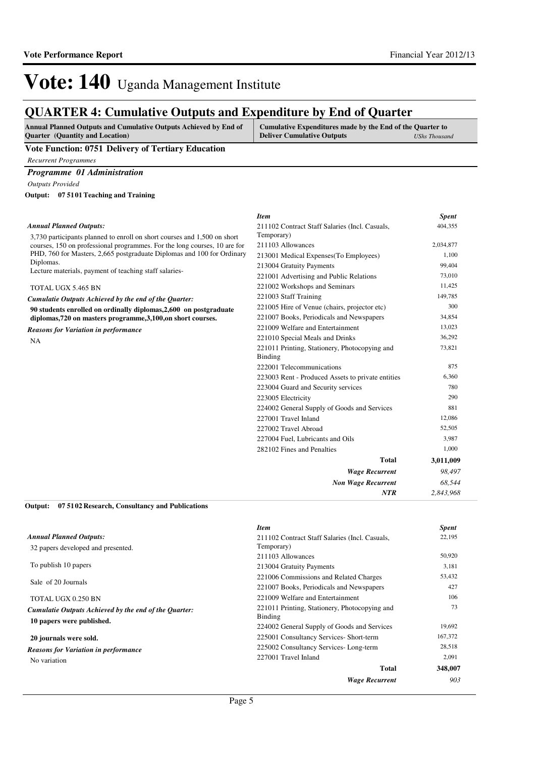### **QUARTER 4: Cumulative Outputs and Expenditure by End of Quarter**

| <b>Annual Planned Outputs and Cumulative Outputs Achieved by End of</b> | Cumulative Expenditures made by the End of the Quarter to |               |
|-------------------------------------------------------------------------|-----------------------------------------------------------|---------------|
| <b>Quarter</b> (Quantity and Location)                                  | <b>Deliver Cumulative Outputs</b>                         | UShs Thousand |

#### **Vote Function: 0751 Delivery of Tertiary Education**

*Recurrent Programmes*

#### *Programme 01 Administration*

*Outputs Provided*

**07 5101 Teaching and Training Output:**

#### *Annual Planned Outputs:*

3,730 participants planned to enroll on short courses and 1,500 on short courses, 150 on professional programmes. For the long courses, 10 are f PHD, 760 for Masters, 2,665 postgraduate Diplomas and 100 for Ordin Diplomas. Lecture materials, payment of teaching staff salaries-

#### TOTAL UGX 5.465 BN

*Cumulatie Outputs Achieved by the end of the Quarter:*

**90 students enrolled on ordinally diplomas,2,600 on postgraduate diplomas,720 on masters programme,3,100,on short courses.**

*Reasons for Variation in performance*

NA

|     | <b>Item</b>                                       | <b>Spent</b> |
|-----|---------------------------------------------------|--------------|
|     | 211102 Contract Staff Salaries (Incl. Casuals,    | 404,355      |
|     | Temporary)                                        |              |
| for | 211103 Allowances                                 | 2,034,877    |
| ary | 213001 Medical Expenses(To Employees)             | 1,100        |
|     | 213004 Gratuity Payments                          | 99,404       |
|     | 221001 Advertising and Public Relations           | 73,010       |
|     | 221002 Workshops and Seminars                     | 11,425       |
|     | 221003 Staff Training                             | 149,785      |
|     | 221005 Hire of Venue (chairs, projector etc)      | 300          |
|     | 221007 Books, Periodicals and Newspapers          | 34,854       |
|     | 221009 Welfare and Entertainment                  | 13,023       |
|     | 221010 Special Meals and Drinks                   | 36,292       |
|     | 221011 Printing, Stationery, Photocopying and     | 73,821       |
|     | Binding                                           |              |
|     | 222001 Telecommunications                         | 875          |
|     | 223003 Rent - Produced Assets to private entities | 6,360        |
|     | 223004 Guard and Security services                | 780          |
|     | 223005 Electricity                                | 290          |
|     | 224002 General Supply of Goods and Services       | 881          |
|     | 227001 Travel Inland                              | 12,086       |
|     | 227002 Travel Abroad                              | 52,505       |
|     | 227004 Fuel, Lubricants and Oils                  | 3,987        |
|     | 282102 Fines and Penalties                        | 1,000        |
|     | Total                                             | 3,011,009    |
|     | <b>Wage Recurrent</b>                             | 98,497       |
|     | <b>Non Wage Recurrent</b>                         | 68,544       |
|     | <b>NTR</b>                                        | 2.843.968    |

#### **07 5102 Research, Consultancy and Publications Output:**

|                                                       | <b>Item</b>                                    | <b>Spent</b> |
|-------------------------------------------------------|------------------------------------------------|--------------|
| <b>Annual Planned Outputs:</b>                        | 211102 Contract Staff Salaries (Incl. Casuals, | 22,195       |
| 32 papers developed and presented.                    | Temporary)                                     |              |
|                                                       | 211103 Allowances                              | 50,920       |
| To publish 10 papers                                  | 213004 Gratuity Payments                       | 3,181        |
| Sale of 20 Journals                                   | 221006 Commissions and Related Charges         | 53,432       |
|                                                       | 221007 Books, Periodicals and Newspapers       | 427          |
| TOTAL UGX 0.250 BN                                    | 221009 Welfare and Entertainment               | 106          |
| Cumulatie Outputs Achieved by the end of the Quarter: | 221011 Printing, Stationery, Photocopying and  | 73           |
| 10 papers were published.                             | Binding                                        |              |
|                                                       | 224002 General Supply of Goods and Services    | 19,692       |
| 20 journals were sold.                                | 225001 Consultancy Services- Short-term        | 167,372      |
| <b>Reasons for Variation in performance</b>           | 225002 Consultancy Services-Long-term          | 28,518       |
| No variation                                          | 227001 Travel Inland                           | 2,091        |
|                                                       | Total                                          | 348,007      |
|                                                       | <b>Wage Recurrent</b>                          | 903          |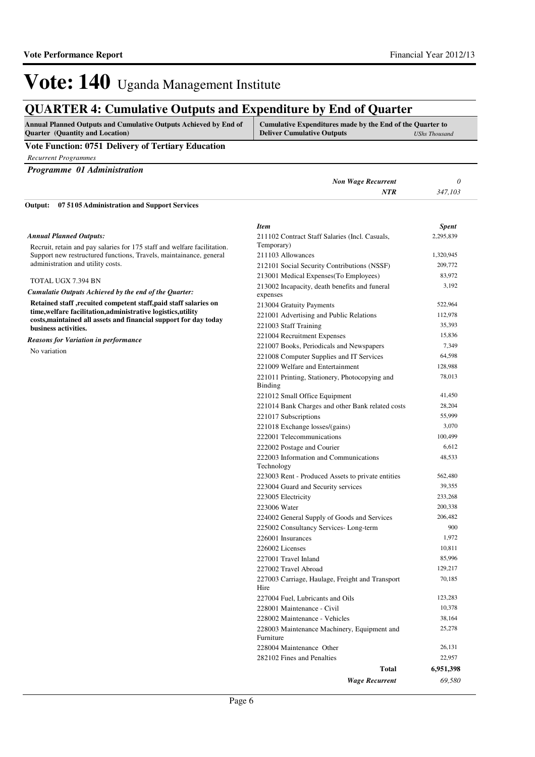## **QUARTER 4: Cumulative Outputs and Expenditure by End of Quarter**

| <b>Annual Planned Outputs and Cumulative Outputs Achieved by End of</b> | Cumulative Expenditures made by the End of the Quarter to |               |
|-------------------------------------------------------------------------|-----------------------------------------------------------|---------------|
| <b>Quarter</b> (Quantity and Location)                                  | <b>Deliver Cumulative Outputs</b>                         | UShs Thousand |

#### **Vote Function: 0751 Delivery of Tertiary Education**

*Recurrent Programmes*

| Programme 01 Administration                                                                                                                               |                                                                 |              |
|-----------------------------------------------------------------------------------------------------------------------------------------------------------|-----------------------------------------------------------------|--------------|
|                                                                                                                                                           | <b>Non Wage Recurrent</b>                                       | 0            |
|                                                                                                                                                           | NTR                                                             | 347,103      |
| 07 51 05 Administration and Support Services<br>Output:                                                                                                   |                                                                 |              |
|                                                                                                                                                           | <b>Item</b>                                                     | <b>Spent</b> |
| <b>Annual Planned Outputs:</b>                                                                                                                            | 211102 Contract Staff Salaries (Incl. Casuals,                  | 2,295,839    |
| Recruit, retain and pay salaries for 175 staff and welfare facilitation.                                                                                  | Temporary)                                                      |              |
| Support new restructured functions, Travels, maintainance, general                                                                                        | 211103 Allowances                                               | 1,320,945    |
| administration and utility costs.<br>TOTAL UGX 7.394 BN                                                                                                   | 212101 Social Security Contributions (NSSF)                     | 209,772      |
|                                                                                                                                                           | 213001 Medical Expenses (To Employees)                          | 83,972       |
| Cumulatie Outputs Achieved by the end of the Quarter:                                                                                                     | 213002 Incapacity, death benefits and funeral<br>expenses       | 3,192        |
| Retained staff, recuited competent staff, paid staff salaries on                                                                                          | 213004 Gratuity Payments                                        | 522,964      |
| time, welfare facilitation, administrative logistics, utility<br>costs, maintained all assets and financial support for day today<br>business activities. | 221001 Advertising and Public Relations                         | 112,978      |
|                                                                                                                                                           | 221003 Staff Training                                           | 35,393       |
|                                                                                                                                                           | 221004 Recruitment Expenses                                     | 15,836       |
| <b>Reasons for Variation in performance</b><br>No variation                                                                                               | 221007 Books, Periodicals and Newspapers                        | 7,349        |
|                                                                                                                                                           | 221008 Computer Supplies and IT Services                        | 64,598       |
|                                                                                                                                                           | 221009 Welfare and Entertainment                                | 128,988      |
|                                                                                                                                                           | 221011 Printing, Stationery, Photocopying and<br><b>Binding</b> | 78,013       |
|                                                                                                                                                           | 221012 Small Office Equipment                                   | 41,450       |
|                                                                                                                                                           | 221014 Bank Charges and other Bank related costs                | 28,204       |
|                                                                                                                                                           | 221017 Subscriptions                                            | 55,999       |
|                                                                                                                                                           | 221018 Exchange losses/(gains)                                  | 3,070        |
|                                                                                                                                                           | 222001 Telecommunications                                       | 100,499      |
|                                                                                                                                                           | 222002 Postage and Courier                                      | 6,612        |
|                                                                                                                                                           | 222003 Information and Communications<br>Technology             | 48,533       |
|                                                                                                                                                           | 223003 Rent - Produced Assets to private entities               | 562,480      |
|                                                                                                                                                           | 223004 Guard and Security services                              | 39,355       |
|                                                                                                                                                           | 223005 Electricity                                              | 233,268      |
|                                                                                                                                                           | 223006 Water                                                    | 200,338      |
|                                                                                                                                                           | 224002 General Supply of Goods and Services                     | 206,482      |
|                                                                                                                                                           | 225002 Consultancy Services-Long-term                           | 900          |

Hire

Furniture

*Wage Recurrent*

226001 Insurances 1,972 226002 Licenses 10,811 227001 Travel Inland 85,996 227002 Travel Abroad 129,217

227004 Fuel, Lubricants and Oils 123,283 228001 Maintenance - Civil 10,378 228002 Maintenance - Vehicles 38,164

228004 Maintenance Other 26,131 282102 Fines and Penalties 22,957

227003 Carriage, Haulage, Freight and Transport

228003 Maintenance Machinery, Equipment and

**Total**

*69,580* **6,951,398**

70,185

25,278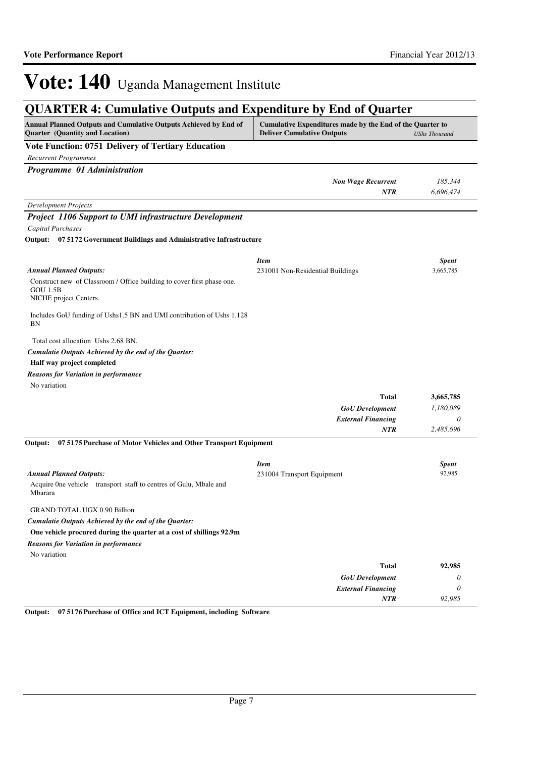## **QUARTER 4: Cumulative Outputs and Expenditure by End of Quarter**

| Annual Planned Outputs and Cumulative Outputs Achieved by End of             | Cumulative Expenditures made by the End of the Quarter to |                           |
|------------------------------------------------------------------------------|-----------------------------------------------------------|---------------------------|
| Quarter (Quantity and Location)                                              | <b>Deliver Cumulative Outputs</b>                         | <b>UShs Thousand</b>      |
| <b>Vote Function: 0751 Delivery of Tertiary Education</b>                    |                                                           |                           |
| <b>Recurrent Programmes</b>                                                  |                                                           |                           |
| Programme 01 Administration                                                  |                                                           |                           |
|                                                                              | <b>Non Wage Recurrent</b>                                 | 185,344                   |
|                                                                              | <b>NTR</b>                                                | 6,696,474                 |
| <b>Development Projects</b>                                                  |                                                           |                           |
| <b>Project 1106 Support to UMI infrastructure Development</b>                |                                                           |                           |
| Capital Purchases                                                            |                                                           |                           |
| Output: 07 5172 Government Buildings and Administrative Infrastructure       |                                                           |                           |
|                                                                              |                                                           |                           |
| <b>Annual Planned Outputs:</b>                                               | <b>Item</b>                                               | <b>Spent</b><br>3,665,785 |
| Construct new of Classroom / Office building to cover first phase one.       | 231001 Non-Residential Buildings                          |                           |
| <b>GOU 1.5B</b>                                                              |                                                           |                           |
| NICHE project Centers.                                                       |                                                           |                           |
| Includes GoU funding of Ushs1.5 BN and UMI contribution of Ushs 1.128        |                                                           |                           |
| ΒN                                                                           |                                                           |                           |
| Total cost allocation Ushs 2.68 BN.                                          |                                                           |                           |
| Cumulatie Outputs Achieved by the end of the Quarter:                        |                                                           |                           |
| Half way project completed                                                   |                                                           |                           |
| <b>Reasons for Variation in performance</b>                                  |                                                           |                           |
| No variation                                                                 |                                                           |                           |
|                                                                              | <b>Total</b>                                              | 3,665,785                 |
|                                                                              | <b>GoU</b> Development                                    | 1,180,089                 |
|                                                                              | <b>External Financing</b>                                 | 0                         |
|                                                                              | <b>NTR</b>                                                | 2,485,696                 |
| 07 5175 Purchase of Motor Vehicles and Other Transport Equipment<br>Output:  |                                                           |                           |
|                                                                              | <b>Item</b>                                               | <b>Spent</b>              |
| <b>Annual Planned Outputs:</b>                                               | 231004 Transport Equipment                                | 92,985                    |
| Acquire One vehicle transport staff to centres of Gulu, Mbale and<br>Mbarara |                                                           |                           |
| <b>GRAND TOTAL UGX 0.90 Billion</b>                                          |                                                           |                           |
| Cumulatie Outputs Achieved by the end of the Quarter:                        |                                                           |                           |
| One vehicle procured during the quarter at a cost of shillings 92.9m         |                                                           |                           |
| <b>Reasons for Variation in performance</b>                                  |                                                           |                           |
| No variation                                                                 |                                                           |                           |
|                                                                              | <b>Total</b>                                              | 92,985                    |
|                                                                              | <b>GoU</b> Development                                    | 0                         |
|                                                                              | <b>External Financing</b>                                 | $\theta$                  |
|                                                                              | NTR                                                       | 92,985                    |

**Output: 07 5176 Purchase of Office and ICT Equipment, including Software**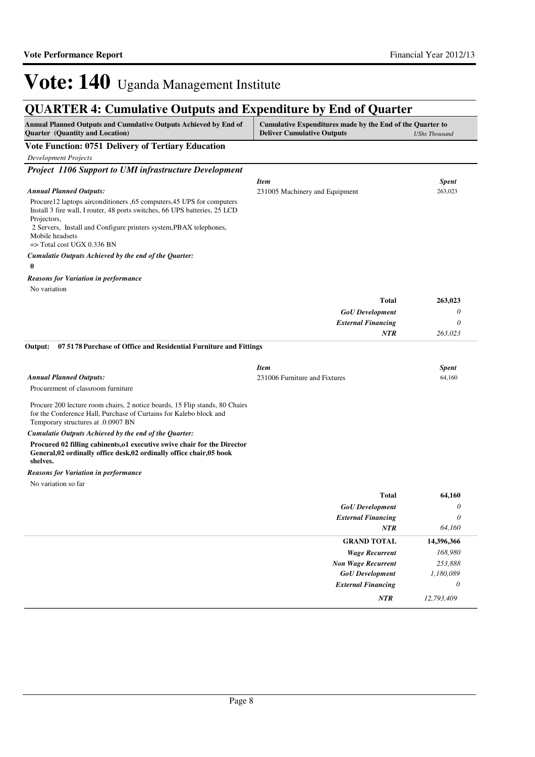## **QUARTER 4: Cumulative Outputs and Expenditure by End of Quarter**

| Annual Planned Outputs and Cumulative Outputs Achieved by End of<br>Cumulative Expenditures made by the End of the Quarter to<br><b>Quarter</b> (Quantity and Location)<br><b>Deliver Cumulative Outputs</b> |                                               | <b>UShs Thousand</b>    |  |
|--------------------------------------------------------------------------------------------------------------------------------------------------------------------------------------------------------------|-----------------------------------------------|-------------------------|--|
| <b>Vote Function: 0751 Delivery of Tertiary Education</b>                                                                                                                                                    |                                               |                         |  |
| <b>Development Projects</b>                                                                                                                                                                                  |                                               |                         |  |
| Project 1106 Support to UMI infrastructure Development                                                                                                                                                       |                                               |                         |  |
| <b>Annual Planned Outputs:</b>                                                                                                                                                                               | <b>Item</b><br>231005 Machinery and Equipment | <b>Spent</b><br>263,023 |  |
| Procure12 laptops airconditioners ,65 computers,45 UPS for computers<br>Install 3 fire wall, I router, 48 ports switches, 66 UPS batteries, 25 LCD<br>Projectors,                                            |                                               |                         |  |
| 2 Servers, Install and Configure printers system, PBAX telephones,<br>Mobile headsets<br>$\Rightarrow$ Total cost UGX 0.336 BN                                                                               |                                               |                         |  |
| Cumulatie Outputs Achieved by the end of the Quarter:                                                                                                                                                        |                                               |                         |  |
| 0                                                                                                                                                                                                            |                                               |                         |  |
| <b>Reasons for Variation in performance</b>                                                                                                                                                                  |                                               |                         |  |
| No variation                                                                                                                                                                                                 |                                               |                         |  |
|                                                                                                                                                                                                              | <b>Total</b>                                  | 263,023                 |  |
|                                                                                                                                                                                                              | <b>GoU</b> Development                        | 0                       |  |
|                                                                                                                                                                                                              | <b>External Financing</b>                     | 0                       |  |
|                                                                                                                                                                                                              | <b>NTR</b>                                    | 263,023                 |  |
| 07 5178 Purchase of Office and Residential Furniture and Fittings<br>Output:                                                                                                                                 |                                               |                         |  |
|                                                                                                                                                                                                              |                                               |                         |  |
|                                                                                                                                                                                                              | <b>Item</b>                                   | <b>Spent</b>            |  |
| <b>Annual Planned Outputs:</b>                                                                                                                                                                               | 231006 Furniture and Fixtures                 | 64,160                  |  |
| Procurement of classroom furniture                                                                                                                                                                           |                                               |                         |  |
| Procure 200 lecture room chairs, 2 notice boards, 15 Flip stands, 80 Chairs<br>for the Conference Hall, Purchase of Curtains for Kalebo block and<br>Temporary structures at .0.0907 BN                      |                                               |                         |  |
| Cumulatie Outputs Achieved by the end of the Quarter:                                                                                                                                                        |                                               |                         |  |
| Procured 02 filling cabinents, o1 executive swive chair for the Director<br>General,02 ordinally office desk,02 ordinally office chair,05 book<br>shelves.                                                   |                                               |                         |  |
| <b>Reasons for Variation in performance</b>                                                                                                                                                                  |                                               |                         |  |
| No variation so far                                                                                                                                                                                          |                                               |                         |  |
|                                                                                                                                                                                                              | <b>Total</b>                                  | 64,160                  |  |
|                                                                                                                                                                                                              | <b>GoU</b> Development                        | 0                       |  |
|                                                                                                                                                                                                              | <b>External Financing</b>                     | 0                       |  |
|                                                                                                                                                                                                              | <b>NTR</b>                                    | 64,160                  |  |
|                                                                                                                                                                                                              | <b>GRAND TOTAL</b>                            | 14,396,366              |  |
|                                                                                                                                                                                                              | <b>Wage Recurrent</b>                         | 168,980                 |  |
|                                                                                                                                                                                                              | <b>Non Wage Recurrent</b>                     | 253,888                 |  |
|                                                                                                                                                                                                              | <b>GoU</b> Development                        | 1,180,089               |  |
|                                                                                                                                                                                                              | <b>External Financing</b>                     | 0                       |  |
|                                                                                                                                                                                                              | NTR                                           | 12,793,409              |  |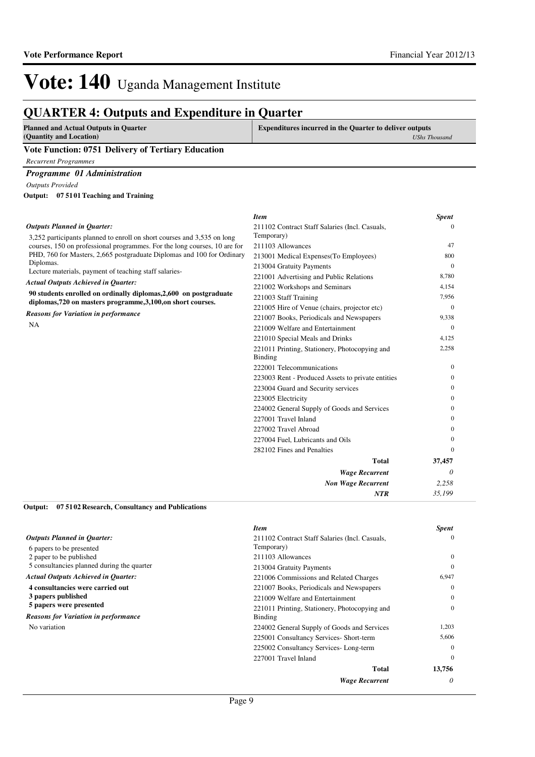*35,199*

*NTR*

*Item Spent*

## Vote: 140 Uganda Management Institute

### **QUARTER 4: Outputs and Expenditure in Quarter**

| <b>Planned and Actual Outputs in Quarter</b>       | <b>Expenditures incurred in the Quarter to deliver outputs</b> |
|----------------------------------------------------|----------------------------------------------------------------|
| (Quantity and Location)                            | UShs Thousand                                                  |
| Vote Function: 0751 Delivery of Tertiary Education |                                                                |
| Recurrent Programmes                               |                                                                |
|                                                    |                                                                |

*Programme 01 Administration*

*Outputs Provided*

**07 5101 Teaching and Training Output:**

#### 3,252 participants planned to enroll on short courses and 3,535 on long courses, 150 on professional programmes. For the long courses, 10 are for PHD, 760 for Masters, 2,665 postgraduate Diplomas and 100 for Ordinary Diplomas. Lecture materials, payment of teaching staff salaries-**90 students enrolled on ordinally diplomas,2,600 on postgraduate diplomas,720 on masters programme,3,100,on short courses.** *Wage Recurrent Non Wage Recurrent* **Total** *0 2,258* **37,457** *Actual Outputs Achieved in Quarter: Outputs Planned in Quarter:* NA *Reasons for Variation in performance* 211102 Contract Staff Salaries (Incl. Casuals, Temporary)  $\theta$ 211103 Allowances 47 213001 Medical Expenses(To Employees) 800 213004 Gratuity Payments 0 221001 Advertising and Public Relations 8,780 221002 Workshops and Seminars 4,154 221003 Staff Training 7,956 221005 Hire of Venue (chairs, projector etc) 0 221007 Books, Periodicals and Newspapers 9,338 221009 Welfare and Entertainment 0 221010 Special Meals and Drinks 4,125 221011 Printing, Stationery, Photocopying and Binding 2,258 222001 Telecommunications 0 223003 Rent - Produced Assets to private entities 0 223004 Guard and Security services 0 223005 Electricity 0 224002 General Supply of Goods and Services 0 227001 Travel Inland 0 227002 Travel Abroad 0 227004 Fuel, Lubricants and Oils 0 282102 Fines and Penalties 0

**07 5102 Research, Consultancy and Publications Output:**

|                                             | <b>Item</b>                                    | <b>Spent</b> |
|---------------------------------------------|------------------------------------------------|--------------|
| <b>Outputs Planned in Quarter:</b>          | 211102 Contract Staff Salaries (Incl. Casuals, | $\Omega$     |
| 6 papers to be presented                    | Temporary)                                     |              |
| 2 paper to be published                     | 211103 Allowances                              | $\Omega$     |
| 5 consultancies planned during the quarter  | 213004 Gratuity Payments                       | $\Omega$     |
| <b>Actual Outputs Achieved in Quarter:</b>  | 221006 Commissions and Related Charges         | 6,947        |
| 4 consultancies were carried out            | 221007 Books, Periodicals and Newspapers       | $\Omega$     |
| 3 papers published                          | 221009 Welfare and Entertainment               | $\Omega$     |
| 5 papers were presented                     | 221011 Printing, Stationery, Photocopying and  | $\Omega$     |
| <b>Reasons for Variation in performance</b> | Binding                                        |              |
| No variation                                | 224002 General Supply of Goods and Services    | 1,203        |
|                                             | 225001 Consultancy Services- Short-term        | 5,606        |
|                                             | 225002 Consultancy Services-Long-term          | $\Omega$     |
|                                             | 227001 Travel Inland                           | $\Omega$     |
|                                             | <b>Total</b>                                   | 13,756       |
|                                             | <b>Wage Recurrent</b>                          | 0            |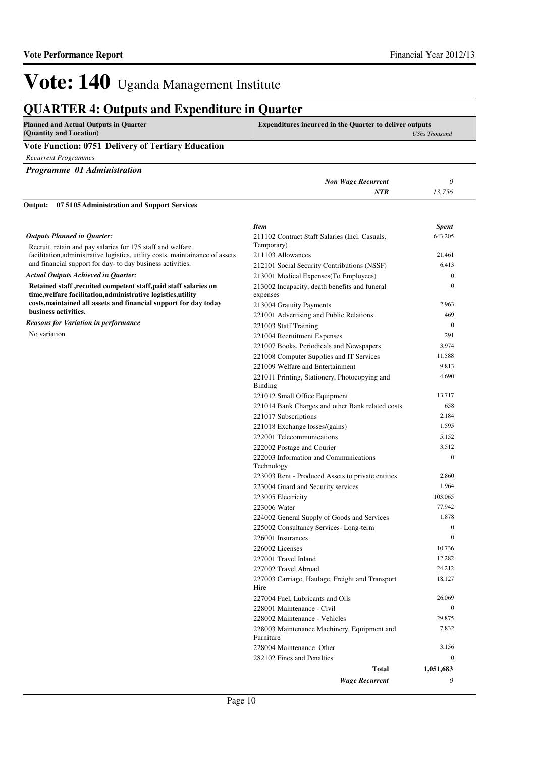### **QUARTER 4: Outputs and Expenditure in Quarter**

| <b>Planned and Actual Outputs in Quarter</b><br>(Quantity and Location) | <b>Expenditures incurred in the Quarter to deliver outputs</b><br>UShs Thousand |
|-------------------------------------------------------------------------|---------------------------------------------------------------------------------|
| <b>Vote Function: 0751 Delivery of Tertiary Education</b>               |                                                                                 |
| <b>Recurrent Programmes</b>                                             |                                                                                 |
| Programme 01 Administration                                             |                                                                                 |

*Non Wage Recurrent 0 NTR 13,756* Recruit, retain and pay salaries for 175 staff and welfare facilitation,administrative logistics, utility costs, maintainance of assets and financial support for day- to day business activities. **Retained staff ,recuited competent staff,paid staff salaries on time,welfare facilitation,administrative logistics,utility costs,maintained all assets and financial support for day today business activities. 07 5105 Administration and Support Services Output:** *Actual Outputs Achieved in Quarter: Outputs Planned in Quarter:* No variation *Reasons for Variation in performance Item Spent* 211102 Contract Staff Salaries (Incl. Casuals, Temporary) 643,205 211103 Allowances 21,461 212101 Social Security Contributions (NSSF) 6,413 213001 Medical Expenses(To Employees) 0 213002 Incapacity, death benefits and funeral expenses 0 213004 Gratuity Payments 2,963 221001 Advertising and Public Relations 469 221003 Staff Training 0 221004 Recruitment Expenses 291 221007 Books, Periodicals and Newspapers 3,974 221008 Computer Supplies and IT Services 11,588 221009 Welfare and Entertainment 9,813 221011 Printing, Stationery, Photocopying and Binding 4,690 221012 Small Office Equipment 13,717 221014 Bank Charges and other Bank related costs 658 221017 Subscriptions 2,184 221018 Exchange losses/(gains) 1,595 222001 Telecommunications 5,152 222002 Postage and Courier 3,512 222003 Information and Communications Technology  $\theta$ 223003 Rent - Produced Assets to private entities 2,860 223004 Guard and Security services 1,964 223005 Electricity 103,065 223006 Water 77,942 224002 General Supply of Goods and Services 1,878 225002 Consultancy Services- Long-term 0 226001 Insurances 0 226002 Licenses 10,736 227001 Travel Inland 12,282 227002 Travel Abroad 24,212 227003 Carriage, Haulage, Freight and Transport Hire 18,127 227004 Fuel, Lubricants and Oils 26,069 228001 Maintenance - Civil 0 228002 Maintenance - Vehicles 29,875 228003 Maintenance Machinery, Equipment and Furniture 7,832

*Wage Recurrent*

228004 Maintenance Other 3,156 282102 Fines and Penalties 0

**Total**

*0* **1,051,683**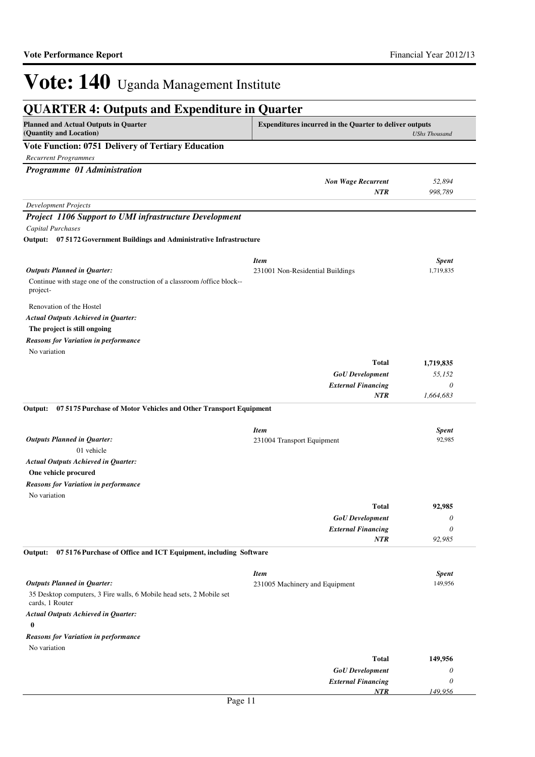| <b>QUARTER 4: Outputs and Expenditure in Quarter</b> |  |
|------------------------------------------------------|--|
|------------------------------------------------------|--|

| <b>Planned and Actual Outputs in Quarter</b><br><b>Expenditures incurred in the Quarter to deliver outputs</b><br>(Quantity and Location) |                                  | <b>UShs Thousand</b> |  |
|-------------------------------------------------------------------------------------------------------------------------------------------|----------------------------------|----------------------|--|
| Vote Function: 0751 Delivery of Tertiary Education                                                                                        |                                  |                      |  |
| <b>Recurrent Programmes</b>                                                                                                               |                                  |                      |  |
| Programme 01 Administration                                                                                                               |                                  |                      |  |
|                                                                                                                                           | <b>Non Wage Recurrent</b>        | 52,894               |  |
|                                                                                                                                           | <b>NTR</b>                       | 998,789              |  |
| <b>Development Projects</b>                                                                                                               |                                  |                      |  |
| <b>Project 1106 Support to UMI infrastructure Development</b>                                                                             |                                  |                      |  |
| <b>Capital Purchases</b>                                                                                                                  |                                  |                      |  |
| Output: 07 5172 Government Buildings and Administrative Infrastructure                                                                    |                                  |                      |  |
|                                                                                                                                           |                                  |                      |  |
|                                                                                                                                           | <b>Item</b>                      | <b>Spent</b>         |  |
| <b>Outputs Planned in Quarter:</b>                                                                                                        | 231001 Non-Residential Buildings | 1,719,835            |  |
| Continue with stage one of the construction of a classroom/office block--<br>project-                                                     |                                  |                      |  |
| Renovation of the Hostel                                                                                                                  |                                  |                      |  |
| <b>Actual Outputs Achieved in Quarter:</b>                                                                                                |                                  |                      |  |
| The project is still ongoing                                                                                                              |                                  |                      |  |
| <b>Reasons for Variation in performance</b>                                                                                               |                                  |                      |  |
| No variation                                                                                                                              |                                  |                      |  |
|                                                                                                                                           | <b>Total</b>                     | 1,719,835            |  |
|                                                                                                                                           | <b>GoU</b> Development           | 55,152               |  |
|                                                                                                                                           | <b>External Financing</b>        | $\theta$             |  |
|                                                                                                                                           | <b>NTR</b>                       | 1,664,683            |  |
| 07 5175 Purchase of Motor Vehicles and Other Transport Equipment<br>Output:                                                               |                                  |                      |  |
|                                                                                                                                           |                                  |                      |  |
|                                                                                                                                           | <b>Item</b>                      | <b>Spent</b>         |  |
| <b>Outputs Planned in Quarter:</b><br>01 vehicle                                                                                          | 231004 Transport Equipment       | 92,985               |  |
| <b>Actual Outputs Achieved in Quarter:</b>                                                                                                |                                  |                      |  |
| One vehicle procured                                                                                                                      |                                  |                      |  |
| <b>Reasons for Variation in performance</b>                                                                                               |                                  |                      |  |
| No variation                                                                                                                              |                                  |                      |  |
|                                                                                                                                           | <b>Total</b>                     | 92,985               |  |
|                                                                                                                                           | <b>GoU</b> Development           | $\theta$             |  |
|                                                                                                                                           | <b>External Financing</b>        | $\theta$             |  |
|                                                                                                                                           | <b>NTR</b>                       | 92,985               |  |
| 075176 Purchase of Office and ICT Equipment, including Software<br>Output:                                                                |                                  |                      |  |
|                                                                                                                                           | <b>Item</b>                      | <b>Spent</b>         |  |
| <b>Outputs Planned in Quarter:</b>                                                                                                        | 231005 Machinery and Equipment   | 149,956              |  |
| 35 Desktop computers, 3 Fire walls, 6 Mobile head sets, 2 Mobile set<br>cards, 1 Router                                                   |                                  |                      |  |
| <b>Actual Outputs Achieved in Quarter:</b><br>$\bf{0}$                                                                                    |                                  |                      |  |
| <b>Reasons for Variation in performance</b>                                                                                               |                                  |                      |  |
| No variation                                                                                                                              |                                  |                      |  |
|                                                                                                                                           | <b>Total</b>                     | 149,956              |  |
|                                                                                                                                           | <b>GoU</b> Development           | $\theta$             |  |
|                                                                                                                                           | <b>External Financing</b>        | $\theta$             |  |
|                                                                                                                                           | NTR                              | 149,956              |  |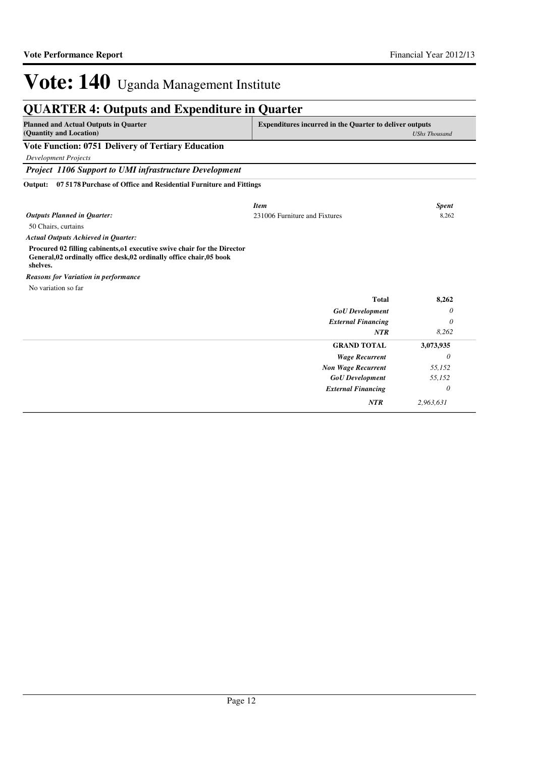## **QUARTER 4: Outputs and Expenditure in Quarter**

| <b>Planned and Actual Outputs in Quarter</b><br>(Quantity and Location)                                                                                       | <b>Expenditures incurred in the Quarter to deliver outputs</b><br><b>UShs Thousand</b> |              |
|---------------------------------------------------------------------------------------------------------------------------------------------------------------|----------------------------------------------------------------------------------------|--------------|
| <b>Vote Function: 0751 Delivery of Tertiary Education</b>                                                                                                     |                                                                                        |              |
| <b>Development Projects</b>                                                                                                                                   |                                                                                        |              |
| Project 1106 Support to UMI infrastructure Development                                                                                                        |                                                                                        |              |
| 07 5178 Purchase of Office and Residential Furniture and Fittings<br>Output:                                                                                  |                                                                                        |              |
|                                                                                                                                                               | <b>Item</b>                                                                            | <b>Spent</b> |
| <b>Outputs Planned in Quarter:</b>                                                                                                                            | 231006 Furniture and Fixtures                                                          | 8,262        |
| 50 Chairs, curtains                                                                                                                                           |                                                                                        |              |
| <b>Actual Outputs Achieved in Quarter:</b>                                                                                                                    |                                                                                        |              |
| Procured 02 filling cabinents, o1 executive swive chair for the Director<br>General, 02 ordinally office desk, 02 ordinally office chair, 05 book<br>shelves. |                                                                                        |              |
| <b>Reasons for Variation in performance</b>                                                                                                                   |                                                                                        |              |
| No variation so far                                                                                                                                           |                                                                                        |              |
|                                                                                                                                                               | <b>Total</b>                                                                           | 8,262        |
|                                                                                                                                                               | <b>GoU</b> Development                                                                 | 0            |
|                                                                                                                                                               | <b>External Financing</b>                                                              | 0            |
|                                                                                                                                                               | NTR                                                                                    | 8,262        |
|                                                                                                                                                               | <b>GRAND TOTAL</b>                                                                     | 3,073,935    |
|                                                                                                                                                               | <b>Wage Recurrent</b>                                                                  | 0            |
|                                                                                                                                                               | <b>Non Wage Recurrent</b>                                                              | 55,152       |
|                                                                                                                                                               | <b>GoU</b> Development                                                                 | 55,152       |
|                                                                                                                                                               | <b>External Financing</b>                                                              | 0            |
|                                                                                                                                                               | <b>NTR</b>                                                                             | 2.963.631    |